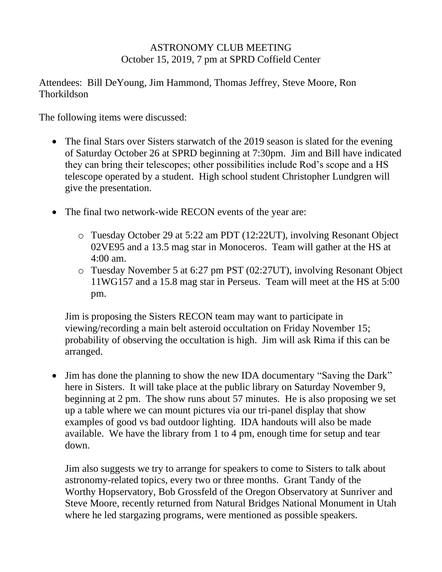## ASTRONOMY CLUB MEETING October 15, 2019, 7 pm at SPRD Coffield Center

Attendees: Bill DeYoung, Jim Hammond, Thomas Jeffrey, Steve Moore, Ron **Thorkildson** 

The following items were discussed:

- The final Stars over Sisters starwatch of the 2019 season is slated for the evening of Saturday October 26 at SPRD beginning at 7:30pm. Jim and Bill have indicated they can bring their telescopes; other possibilities include Rod's scope and a HS telescope operated by a student. High school student Christopher Lundgren will give the presentation.
- The final two network-wide RECON events of the year are:
	- o Tuesday October 29 at 5:22 am PDT (12:22UT), involving Resonant Object 02VE95 and a 13.5 mag star in Monoceros. Team will gather at the HS at 4:00 am.
	- o Tuesday November 5 at 6:27 pm PST (02:27UT), involving Resonant Object 11WG157 and a 15.8 mag star in Perseus. Team will meet at the HS at 5:00 pm.

Jim is proposing the Sisters RECON team may want to participate in viewing/recording a main belt asteroid occultation on Friday November 15; probability of observing the occultation is high. Jim will ask Rima if this can be arranged.

• Jim has done the planning to show the new IDA documentary "Saving the Dark" here in Sisters. It will take place at the public library on Saturday November 9, beginning at 2 pm. The show runs about 57 minutes. He is also proposing we set up a table where we can mount pictures via our tri-panel display that show examples of good vs bad outdoor lighting. IDA handouts will also be made available. We have the library from 1 to 4 pm, enough time for setup and tear down.

Jim also suggests we try to arrange for speakers to come to Sisters to talk about astronomy-related topics, every two or three months. Grant Tandy of the Worthy Hopservatory, Bob Grossfeld of the Oregon Observatory at Sunriver and Steve Moore, recently returned from Natural Bridges National Monument in Utah where he led stargazing programs, were mentioned as possible speakers.